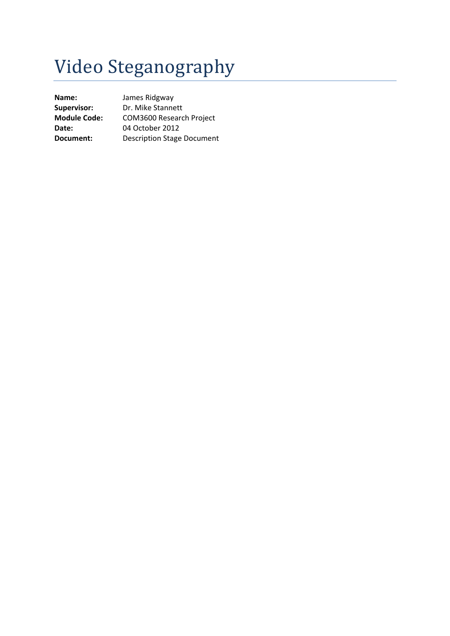# Video Steganography

| Name:               | James Ridgway                     |
|---------------------|-----------------------------------|
| Supervisor:         | Dr. Mike Stannett                 |
| <b>Module Code:</b> | COM3600 Research Project          |
| <b>Date:</b>        | 04 October 2012                   |
| Document:           | <b>Description Stage Document</b> |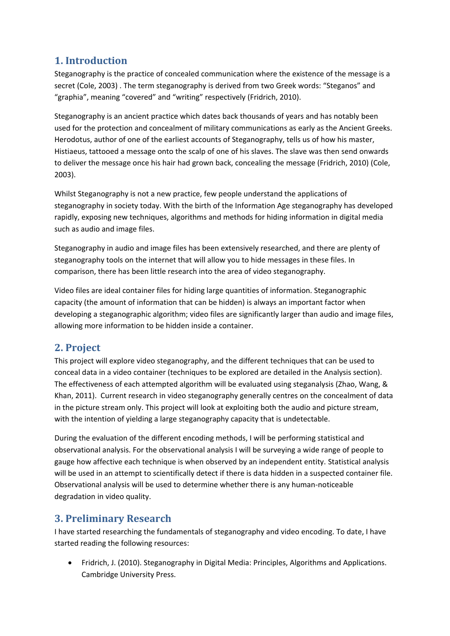## **1. Introduction**

Steganography is the practice of concealed communication where the existence of the message is a secret (Cole, 2003) . The term steganography is derived from two Greek words: "Steganos" and "graphia", meaning "covered" and "writing" respectively (Fridrich, 2010).

Steganography is an ancient practice which dates back thousands of years and has notably been used for the protection and concealment of military communications as early as the Ancient Greeks. Herodotus, author of one of the earliest accounts of Steganography, tells us of how his master, Histiaeus, tattooed a message onto the scalp of one of his slaves. The slave was then send onwards to deliver the message once his hair had grown back, concealing the message (Fridrich, 2010) (Cole, 2003).

Whilst Steganography is not a new practice, few people understand the applications of steganography in society today. With the birth of the Information Age steganography has developed rapidly, exposing new techniques, algorithms and methods for hiding information in digital media such as audio and image files.

Steganography in audio and image files has been extensively researched, and there are plenty of steganography tools on the internet that will allow you to hide messages in these files. In comparison, there has been little research into the area of video steganography.

Video files are ideal container files for hiding large quantities of information. Steganographic capacity (the amount of information that can be hidden) is always an important factor when developing a steganographic algorithm; video files are significantly larger than audio and image files, allowing more information to be hidden inside a container.

## **2. Project**

This project will explore video steganography, and the different techniques that can be used to conceal data in a video container (techniques to be explored are detailed in the Analysis section). The effectiveness of each attempted algorithm will be evaluated using steganalysis (Zhao, Wang, & Khan, 2011). Current research in video steganography generally centres on the concealment of data in the picture stream only. This project will look at exploiting both the audio and picture stream, with the intention of yielding a large steganography capacity that is undetectable.

During the evaluation of the different encoding methods, I will be performing statistical and observational analysis. For the observational analysis I will be surveying a wide range of people to gauge how affective each technique is when observed by an independent entity. Statistical analysis will be used in an attempt to scientifically detect if there is data hidden in a suspected container file. Observational analysis will be used to determine whether there is any human-noticeable degradation in video quality.

## **3. Preliminary Research**

I have started researching the fundamentals of steganography and video encoding. To date, I have started reading the following resources:

 Fridrich, J. (2010). Steganography in Digital Media: Principles, Algorithms and Applications. Cambridge University Press.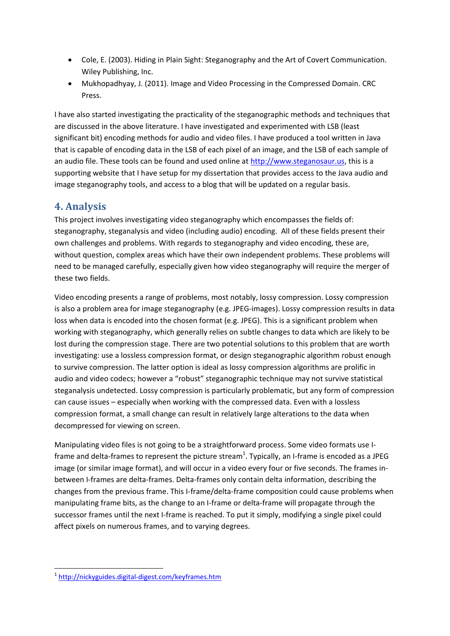- Cole, E. (2003). Hiding in Plain Sight: Steganography and the Art of Covert Communication. Wiley Publishing, Inc.
- Mukhopadhyay, J. (2011). Image and Video Processing in the Compressed Domain. CRC Press.

I have also started investigating the practicality of the steganographic methods and techniques that are discussed in the above literature. I have investigated and experimented with LSB (least significant bit) encoding methods for audio and video files. I have produced a tool written in Java that is capable of encoding data in the LSB of each pixel of an image, and the LSB of each sample of an audio file. These tools can be found and used online at [http://www.steganosaur.us,](http://www.steganosaur.us/) this is a supporting website that I have setup for my dissertation that provides access to the Java audio and image steganography tools, and access to a blog that will be updated on a regular basis.

### **4. Analysis**

This project involves investigating video steganography which encompasses the fields of: steganography, steganalysis and video (including audio) encoding. All of these fields present their own challenges and problems. With regards to steganography and video encoding, these are, without question, complex areas which have their own independent problems. These problems will need to be managed carefully, especially given how video steganography will require the merger of these two fields.

Video encoding presents a range of problems, most notably, lossy compression. Lossy compression is also a problem area for image steganography (e.g. JPEG-images). Lossy compression results in data loss when data is encoded into the chosen format (e.g. JPEG). This is a significant problem when working with steganography, which generally relies on subtle changes to data which are likely to be lost during the compression stage. There are two potential solutions to this problem that are worth investigating: use a lossless compression format, or design steganographic algorithm robust enough to survive compression. The latter option is ideal as lossy compression algorithms are prolific in audio and video codecs; however a "robust" steganographic technique may not survive statistical steganalysis undetected. Lossy compression is particularly problematic, but any form of compression can cause issues – especially when working with the compressed data. Even with a lossless compression format, a small change can result in relatively large alterations to the data when decompressed for viewing on screen.

Manipulating video files is not going to be a straightforward process. Some video formats use Iframe and delta-frames to represent the picture stream<sup>1</sup>. Typically, an I-frame is encoded as a JPEG image (or similar image format), and will occur in a video every four or five seconds. The frames inbetween I-frames are delta-frames. Delta-frames only contain delta information, describing the changes from the previous frame. This I-frame/delta-frame composition could cause problems when manipulating frame bits, as the change to an I-frame or delta-frame will propagate through the successor frames until the next I-frame is reached. To put it simply, modifying a single pixel could affect pixels on numerous frames, and to varying degrees.

**.** 

<sup>&</sup>lt;sup>1</sup><http://nickyguides.digital-digest.com/keyframes.htm>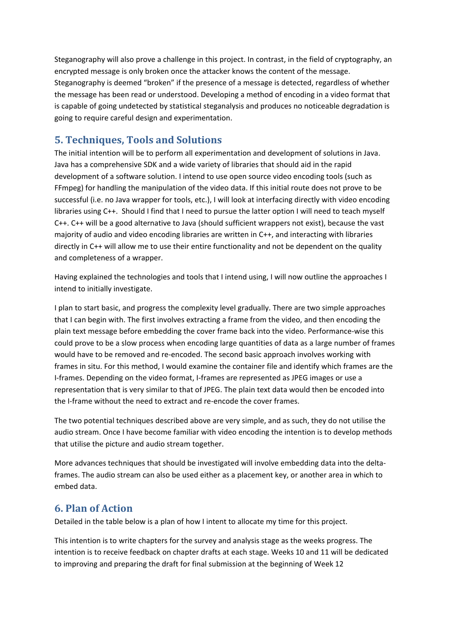Steganography will also prove a challenge in this project. In contrast, in the field of cryptography, an encrypted message is only broken once the attacker knows the content of the message. Steganography is deemed "broken" if the presence of a message is detected, regardless of whether the message has been read or understood. Developing a method of encoding in a video format that is capable of going undetected by statistical steganalysis and produces no noticeable degradation is going to require careful design and experimentation.

## **5. Techniques, Tools and Solutions**

The initial intention will be to perform all experimentation and development of solutions in Java. Java has a comprehensive SDK and a wide variety of libraries that should aid in the rapid development of a software solution. I intend to use open source video encoding tools (such as FFmpeg) for handling the manipulation of the video data. If this initial route does not prove to be successful (i.e. no Java wrapper for tools, etc.), I will look at interfacing directly with video encoding libraries using C++. Should I find that I need to pursue the latter option I will need to teach myself C++. C++ will be a good alternative to Java (should sufficient wrappers not exist), because the vast majority of audio and video encoding libraries are written in C++, and interacting with libraries directly in C++ will allow me to use their entire functionality and not be dependent on the quality and completeness of a wrapper.

Having explained the technologies and tools that I intend using, I will now outline the approaches I intend to initially investigate.

I plan to start basic, and progress the complexity level gradually. There are two simple approaches that I can begin with. The first involves extracting a frame from the video, and then encoding the plain text message before embedding the cover frame back into the video. Performance-wise this could prove to be a slow process when encoding large quantities of data as a large number of frames would have to be removed and re-encoded. The second basic approach involves working with frames in situ. For this method, I would examine the container file and identify which frames are the I-frames. Depending on the video format, I-frames are represented as JPEG images or use a representation that is very similar to that of JPEG. The plain text data would then be encoded into the I-frame without the need to extract and re-encode the cover frames.

The two potential techniques described above are very simple, and as such, they do not utilise the audio stream. Once I have become familiar with video encoding the intention is to develop methods that utilise the picture and audio stream together.

More advances techniques that should be investigated will involve embedding data into the deltaframes. The audio stream can also be used either as a placement key, or another area in which to embed data.

#### **6. Plan of Action**

Detailed in the table below is a plan of how I intent to allocate my time for this project.

This intention is to write chapters for the survey and analysis stage as the weeks progress. The intention is to receive feedback on chapter drafts at each stage. Weeks 10 and 11 will be dedicated to improving and preparing the draft for final submission at the beginning of Week 12